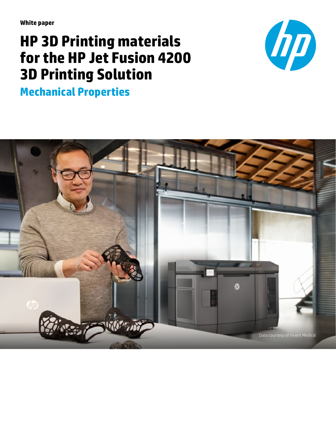**White paper**

# **HP 3D Printing materials for the HP Jet Fusion 4200 3D Printing Solution**



**Mechanical Properties** 

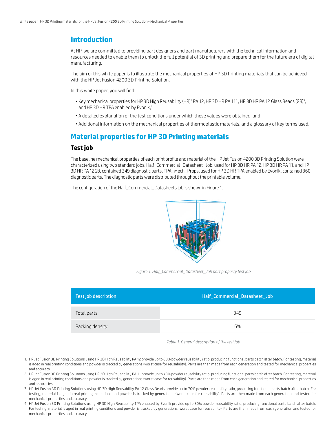# **Introduction**

At HP, we are committed to providing part designers and part manufacturers with the technical information and resources needed to enable them to unlock the full potential of 3D printing and prepare them for the future era of digital manufacturing.

The aim of this white paper is to illustrate the mechanical properties of HP 3D Printing materials that can be achieved with the HP Jet Fusion 4200 3D Printing Solution.

In this white paper, you will find:

- $\bullet$  Key mechanical properties for HP 3D High Reusability (HR)1 PA 12, HP 3D HR PA 11<sup>2</sup> , HP 3D HR PA 12 Glass Beads (GB)<sup>3</sup>, and HP 3D HR TPA enabled by Evonik.<sup>4</sup>
- A detailed explanation of the test conditions under which these values were obtained, and
- Additional information on the mechanical properties of thermoplastic materials, and a glossary of key terms used.

# **Material properties for HP 3D Printing materials**

#### **Test job**

The baseline mechanical properties of each print profile and material of the HP Jet Fusion 4200 3D Printing Solution were characterized using two standard jobs. Half\_Commercial\_Datasheet\_Job, used for HP 3D HR PA 12, HP 3D HR PA 11, and HP 3D HR PA 12GB, contained 349 diagnostic parts. TPA\_Mech\_Props, used for HP 3D HR TPA enabled by Evonik, contained 360 diagnostic parts. The diagnostic parts were distributed throughout the printable volume.

The configuration of the Half\_Commercial\_Datasheets job is shown in Figure 1.



*Figure 1. Half\_Commercial\_Datasheet\_Job part property test job*

| Test job description | Half_Commercial_Datasheet_Job |
|----------------------|-------------------------------|
| Total parts          | 349                           |
| Packing density      | 6%                            |

*Table 1. General description of the test job*

3. HP Jet Fusion 3D Printing Solutions using HP 3D High Reusability PA 12 Glass Beads provide up to 70% powder reusability ratio, producing functional parts batch after batch. For testing, material is aged in real printing conditions and powder is tracked by generations (worst case for reusability). Parts are then made from each generation and tested for mechanical properties and accuracy.

4. HP Jet Fusion 3D Printing Solutions using HP 3D High Reusability TPA enabled by Evonik provide up to 80% powder reusability ratio, producing functional parts batch after batch. For testing, material is aged in real printing conditions and powder is tracked by generations (worst case for reusability). Parts are then made from each generation and tested for mechanical properties and accuracy

<sup>1.</sup> HP Jet Fusion 3D Printing Solutions using HP 3D High Reusability PA 12 provide up to 80% powder reusability ratio, producing functional parts batch after batch. For testing, material is aged in real printing conditions and powder is tracked by generations (worst case for reusability). Parts are then made from each generation and tested for mechanical properties and accuracy.

<sup>2.</sup> HP Jet Fusion 3D Printing Solutions using HP 3D High Reusability PA 11 provide up to 70% powder reusability ratio, producing functional parts batch after batch. For testing, material is aged in real printing conditions and powder is tracked by generations (worst case for reusability). Parts are then made from each generation and tested for mechanical properties and accuracies.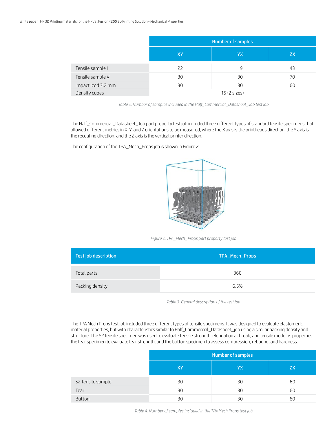|                    | Number of samples |    |           |
|--------------------|-------------------|----|-----------|
|                    | XY                | YX | <b>ZX</b> |
| Tensile sample I   | 22                | 19 | 43        |
| Tensile sample V   | 30                | 30 | 70        |
| Impact Izod 3.2 mm | 30                | 30 | 60        |
| Density cubes      | 15 (2 sizes)      |    |           |

*Table 2. Number of samples included in the Half\_Commercial\_Datasheet\_Job test job*

The Half\_Commercial\_Datasheet\_Job part property test job included three different types of standard tensile specimens that allowed different metrics in X, Y, and Z orientations to be measured, where the X axis is the printheads direction, the Y axis is the recoating direction, and the Z axis is the vertical printer direction.

The configuration of the TPA\_Mech\_Props job is shown in Figure 2.



*Figure 2. TPA\_Mech\_Props part property test job*

| Test job description | TPA_Mech_Props |
|----------------------|----------------|
| Total parts          | 360            |
| Packing density      | 6.5%           |

*Table 3. General description of the test job*

The TPA Mech Props test job included three different types of tensile specimens. It was designed to evaluate elastomeric material properties, but with characteristics similar to Half\_Commercial\_Datasheet\_job using a similar packing density and structure. The S2 tensile specimen was used to evaluate tensile strength, elongation at break, and tensile modulus properties, the tear specimen to evaluate tear strength, and the button specimen to assess compression, rebound, and hardness.

|                   | Number of samples |    |    |
|-------------------|-------------------|----|----|
|                   | XY                | YΧ | ZX |
| S2 tensile sample | 30                | 30 | 60 |
| Tear              | 30                | 30 | 60 |
| <b>Button</b>     | 30                | 30 | 60 |

*Table 4. Number of samples included in the TPA Mech Props test job*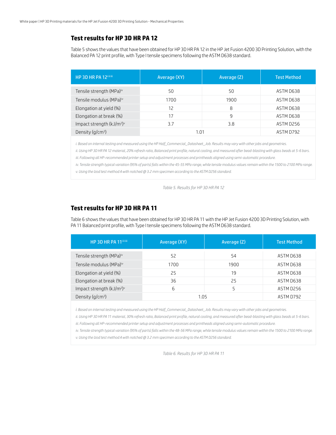#### **Test results for HP 3D HR PA 12**

Table 5 shows the values that have been obtained for HP 3D HR PA 12 in the HP Jet Fusion 4200 3D Printing Solution, with the Balanced PA 12 print profile, with Type I tensile specimens following the ASTM D638 standard.

| HP 3D HR PA 12illill                              | Average (XY) | Average (Z) | <b>Test Method</b> |
|---------------------------------------------------|--------------|-------------|--------------------|
| Tensile strength (MPa) <sup>iv</sup>              | 50           | 50          | ASTM D638          |
| Tensile modulus (MPa)iv                           | 1700         | 1900        | ASTM D638          |
| Elongation at yield (%)                           | 12           | 8           | ASTM D638          |
| Elongation at break (%)                           | 17           | 9           | ASTM D638          |
| Impact strength (kJ/m <sup>2</sup> ) <sup>v</sup> | 3.7          | 3.8         | ASTM D256          |
| Density $(q/cm3)$                                 | 1.01         |             | ASTM D792          |

*i. Based on internal testing and measured using the HP Half\_Commercial\_Datasheet\_Job. Results may vary with other jobs and geometries.*

*ii. Using HP 3D HR PA 12 material, 20% refresh ratio, Balanced print profile, natural cooling, and measured after bead-blasting with glass beads at 5-6 bars. iii. Following all HP-recommended printer setup and adjustment processes and printheads aligned using semi-automatic procedure.*

*iv. Tensile strength typical variation (95% of parts) falls within the 45-55 MPa range, while tensile modulus values remain within the 1500 to 2100 MPa range.*

*v. Using the Izod test method A with notched @ 3.2 mm specimen according to the ASTM D256 standard.*

*Table 5. Results for HP 3D HR PA 12*

## **Test results for HP 3D HR PA 11**

Table 6 shows the values that have been obtained for HP 3D HR PA 11 with the HP Jet Fusion 4200 3D Printing Solution, with PA 11 Balanced print profile, with Type I tensile specimens following the ASTM D638 standard.

| HP 3D HR PA 11iiiii                               | Average (XY) | Average (Z) | <b>Test Method</b> |
|---------------------------------------------------|--------------|-------------|--------------------|
| Tensile strength (MPa) <sup>iv</sup>              | 52           | 54          | ASTM D638          |
| Tensile modulus (MPa)iv                           | 1700         | 1900        | ASTM D638          |
| Elongation at yield (%)                           | 25           | 19          | ASTM D638          |
| Elongation at break (%)                           | 36           | 25          | ASTM D638          |
| Impact strength (kJ/m <sup>2</sup> ) <sup>v</sup> | 6            | 5           | ASTM D256          |
| Density $(q/cm3)$                                 | 1.05         |             | ASTM D792          |

*i. Based on internal testing and measured using the HP Half\_Commercial\_Datasheet\_Job. Results may vary with other jobs and geometries.*

*ii. Using HP 3D HR PA 11 material, 30% refresh ratio, Balanced print profile, natural cooling, and measured after bead-blasting with glass beads at 5-6 bars.*

*iii. Following all HP-recommended printer setup and adjustment processes and printheads aligned using semi-automatic procedure.*

*iv. Tensile strength typical variation (95% of parts) falls within the 48-56 MPa range, while tensile modulus values remain within the 1500 to 2100 MPa range.*

*v. Using the Izod test method A with notched @ 3.2 mm specimen according to the ASTM D256 standard.*

*Table 6. Results for HP 3D HR PA 11*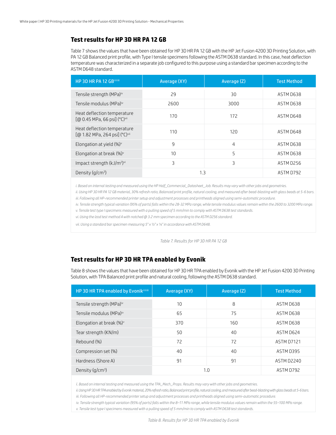#### **Test results for HP 3D HR PA 12 GB**

Table 7 shows the values that have been obtained for HP 3D HR PA 12 GB with the HP Jet Fusion 4200 3D Printing Solution, with PA 12 GB Balanced print profile, with Type I tensile specimens following the ASTM D638 standard. In this case, heat deflection temperature was characterized in a separate job configured to this purpose using a standard bar specimen according to the ASTM D648 standard.

| HP 3D HR PA 12 GBillilli                                                 | Average (XY) | Average (Z) | <b>Test Method</b> |
|--------------------------------------------------------------------------|--------------|-------------|--------------------|
| Tensile strength (MPa) <sup>iv</sup>                                     | 29           | 30          | ASTM D638          |
| Tensile modulus (MPa) <sup>iv</sup>                                      | 2600         | 3000        | ASTM D638          |
| Heat deflection temperature<br>[@ 0.45 MPa, 66 psi] (°C) <sup>vii</sup>  | 170          | 172         | ASTM D648          |
| Heat deflection temperature<br>[@ 1.82 MPa, 264 psi] (°C) <sup>vii</sup> | 110          | 120         | ASTM D648          |
| Elongation at yield $(\%)^{\vee}$                                        | 9            | 4           | ASTM D638          |
| Elongation at break $(\%)^{\vee}$                                        | 10           | 5           | ASTM D638          |
| Impact strength $(kJ/m2)vi$                                              | 3            | 3           | ASTM D256          |
| Density $(q/cm^3)$                                                       | 1.3          |             | ASTM D792          |

*i. Based on internal testing and measured using the HP Half\_Commercial\_Datasheet\_Job. Results may vary with other jobs and geometries.*

*ii. Using HP 3D HR PA 12 GB material, 30% refresh ratio, Balanced print profile, natural cooling, and measured after bead-blasting with glass beads at 5-6 bars. iii. Following all HP-recommended printer setup and adjustment processes and printheads aligned using semi-automatic procedure.*

*iv. Tensile strength typical variation (95% of parts) falls within the 28-32 MPa range, while tensile modulus values remain within the 2600 to 3200 MPa range.*

*v. Tensile test type I specimens measured with a pulling speed of 5 mm/min to comply with ASTM D638 test standards.*

*vi. Using the Izod test method A with notched @ 3.2 mm specimen according to the ASTM D256 standard.*

*vii. Using a standard bar specimen measuring 5" x ½" x ¼" in accordance with ASTM D648.*

*Table 7. Results for HP 3D HR PA 12 GB*

### **Test results for HP 3D HR TPA enabled by Evonik**

Table 8 shows the values that have been obtained for HP 3D HR TPA enabled by Evonik with the HP Jet Fusion 4200 3D Printing Solution, with TPA Balanced print profile and natural cooling, following the ASTM D638 standard.

| HP 3D HR TPA enabled by Evoniki iiii | Average (XY) | Average (Z) | <b>Test Method</b> |
|--------------------------------------|--------------|-------------|--------------------|
| Tensile strength (MPa) <sup>iv</sup> | 10           | 8           | ASTM D638          |
| Tensile modulus (MPa) <sup>iv</sup>  | 65           | 75          | ASTM D638          |
| Elongation at break $(\%)^{\vee}$    | 370          | 160         | ASTM D638          |
| Tear strength (KN/m)                 | 50           | 40          | ASTM D624          |
| Rebound (%)                          | 72           | 72          | <b>ASTM D7121</b>  |
| Compression set (%)                  | 40           | 40          | ASTM D395          |
| Hardness (Shore A)                   | 91           | 91          | ASTM D2240         |
| Density $(q/cm^3)$                   | 1.0          |             | ASTM D792          |

*i. Based on internal testing and measured using the TPA\_Mech\_Props. Results may vary with other jobs and geometries.*

*ii. Using HP 3D HR TPA enabled by Evonik material, 20% refresh ratio, Balanced print profile, natural cooling, and measured after bead-blasting with glass beads at 5-6 bars.*

*iii. Following all HP-recommended printer setup and adjustment processes and printheads aligned using semi-automatic procedure.*

*iv. Tensile strength typical variation (95% of parts) falls within the 8–11 MPa range, while tensile modulus values remain within the 55–100 MPa range.*

*v. Tensile test type I specimens measured with a pulling speed of 5 mm/min to comply with ASTM D638 test standards.*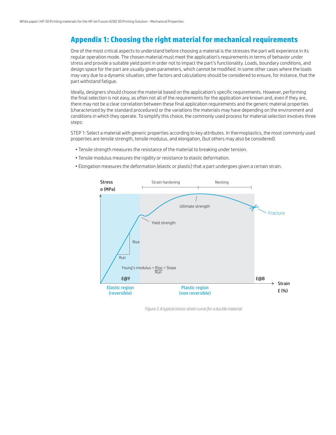# **Appendix 1: Choosing the right material for mechanical requirements**

One of the most critical aspects to understand before choosing a material is the stresses the part will experience in its regular operation mode. The chosen material must meet the application's requirements in terms of behavior under stress and provide a suitable yield point in order not to impact the part's functionality. Loads, boundary conditions, and design space for the part are usually given parameters, which cannot be modified. In some other cases where the loads may vary due to a dynamic situation, other factors and calculations should be considered to ensure, for instance, that the part withstand fatigue.

Ideally, designers should choose the material based on the application's specific requirements. However, performing the final selection is not easy, as often not all of the requirements for the application are known and, even if they are, there may not be a clear correlation between these final application requirements and the generic material properties (characterized by the standard procedures) or the variations the materials may have depending on the environment and conditions in which they operate. To simplify this choice, the commonly used process for material selection involves three steps:

STEP 1: Select a material with generic properties according to key attributes. In thermoplastics, the most commonly used properties are tensile strength, tensile modulus, and elongation, (but others may also be considered).

- Tensile strength measures the resistance of the material to breaking under tension.
- Tensile modulus measures the rigidity or resistance to elastic deformation.
- Elongation measures the deformation (elastic or plastic) that a part undergoes given a certain strain.



*Figure 3. A typical stress-strain curve for a ductile material*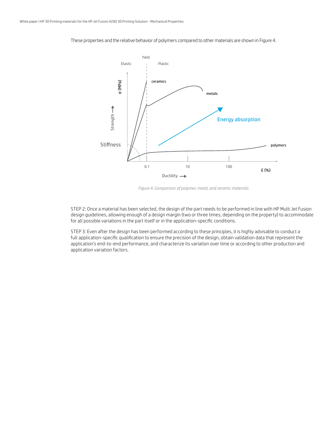

These properties and the relative behavior of polymers compared to other materials are shown in Figure 4.

*Figure 4. Comparison of polymer, metal, and ceramic materials*

STEP 2: Once a material has been selected, the design of the part needs to be performed in line with HP Multi Jet Fusion design guidelines, allowing enough of a design margin (two or three times, depending on the property) to accommodate for all possible variations in the part itself or in the application-specific conditions.

STEP 3: Even after the design has been performed according to these principles, it is highly advisable to conduct a full application-specific qualification to ensure the precision of the design, obtain validation data that represent the application's end-to-end performance, and characterize its variation over time or according to other production and application variation factors.